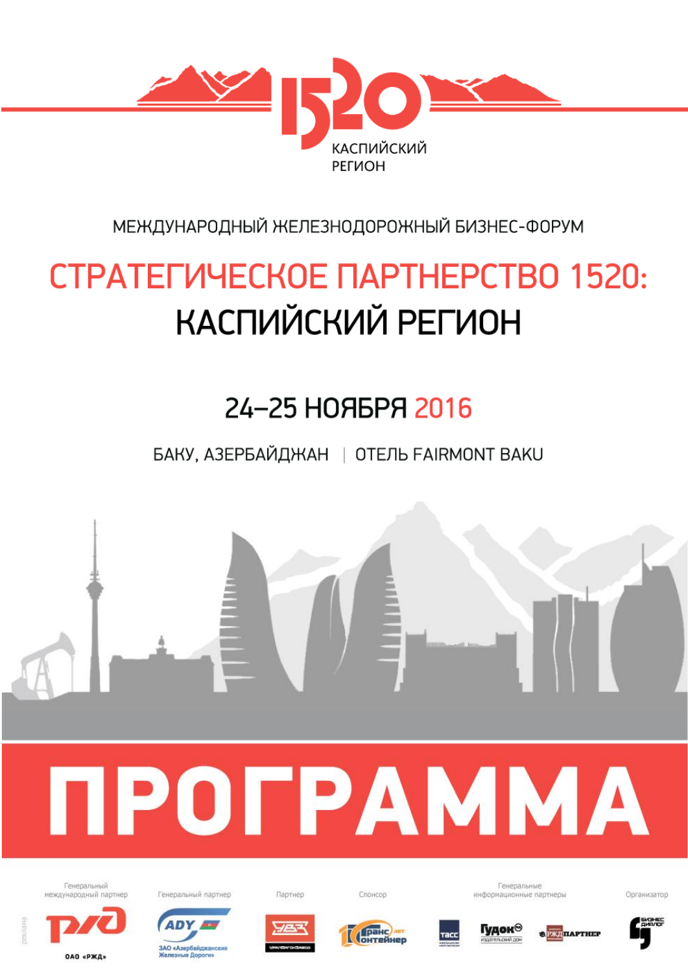

МЕЖДУНАРОДНЫЙ ЖЕЛЕЗНОДОРОЖНЫЙ БИЗНЕС-ФОРУМ

# СТРАТЕГИЧЕСКОЕ ПАРТНЕРСТВО 1520: КАСПИЙСКИЙ РЕГИОН

## 24-25 НОЯБРЯ 2016

БАКУ, АЗЕРБАЙДЖАН | ОТЕЛЬ FAIRMONT BAKU



OAO «PЖД»



**ЗАО «Азербайджа»** 

**Bonora** 







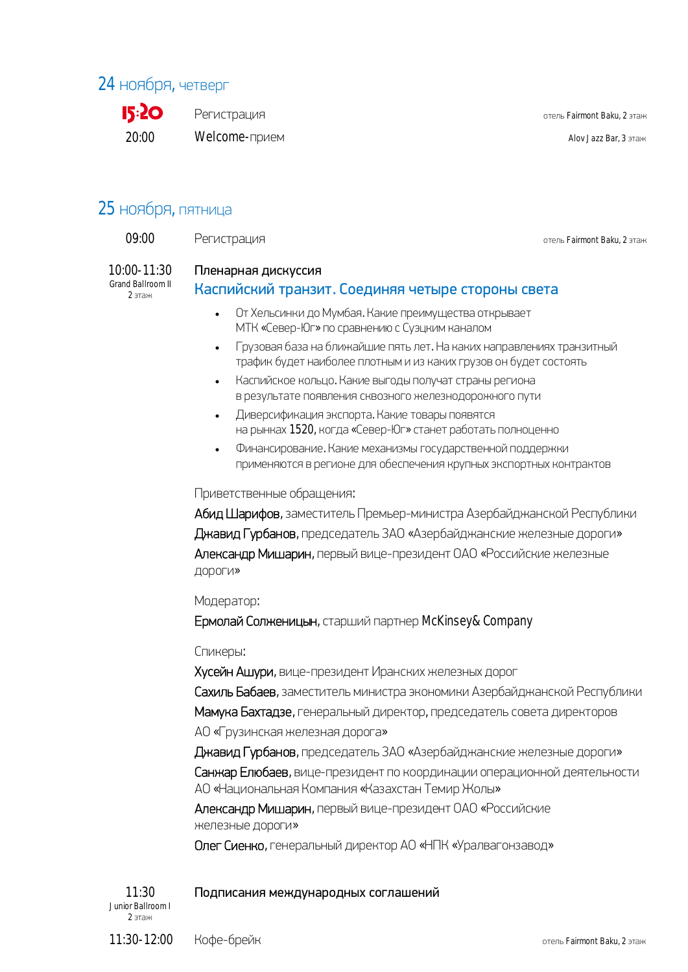## 24 ноября, четверг

**15:20**  $20.00$ 

Регистрация

Welcome-прием

OTALL Fairmont Baku 2 STAH

Alov Jazz Bar, 3 этаж

## 25 ноября, пятница

| 09:00       | Регистрация         | отель Fairmont Baku, 2 этаж |
|-------------|---------------------|-----------------------------|
| 10:00-11:30 | Пленарная дискуссия |                             |

Grand Ballroom II  $2$  этаж

## Каспийский транзит. Соединяя четыре стороны света

- От Хельсинки до Мумбая. Какие преимущества открывает  $\ddot{\phantom{a}}$ МТК «Север-Юг» по сравнению с Суэцким каналом
- Грузовая база на ближайшие пять лет. На каких направлениях транзитный  $\bullet$ трафик будет наиболее плотным и из каких грузов он будет состоять
- Каспийское кольцо. Какие выгоды получат страны региона  $\bullet$ в результате появления сквозного железнодорожного пути
- Диверсификация экспорта. Какие товары появятся на рынках 1520, когда «Север-Юг» станет работать полноценно
- Финансирование. Какие механизмы государственной поддержки  $\bullet$ применяются в регионе для обеспечения крупных экспортных контрактов

#### Приветственные обращения:

Абид Шарифов, заместитель Премьер-министра Азербайджанской Республики Джавид Гурбанов, председатель ЗАО «Азербайджанские железные дороги» Александр Мишарин, первый вице-президент ОАО «Российские железные дороги»

#### Модератор:

Ермолай Солженицын, старший партнер McKinsey&Company

#### Спикеры:

Хусейн Ашури, вице-президент Иранских железных дорог

Сахиль Бабаев, заместитель министра экономики Азербайджанской Республики

Мамука Бахтадзе, генеральный директор, председатель совета директоров

АО «Грузинская железная дорога»

Джавид Гурбанов, председатель ЗАО «Азербайджанские железные дороги» Санжар Елюбаев, вице-президент по координации операционной деятельности АО «Национальная Компания «Казахстан Темир Жолы»

Александр Мишарин, первый вице-президент ОАО «Российские железные дороги»

Олег Сиенко, генеральный директор АО «НПК «Уралвагонзавод»

Подписания международных соглашений

 $11:30$ Junior Ballroom I  $2 \pi A H$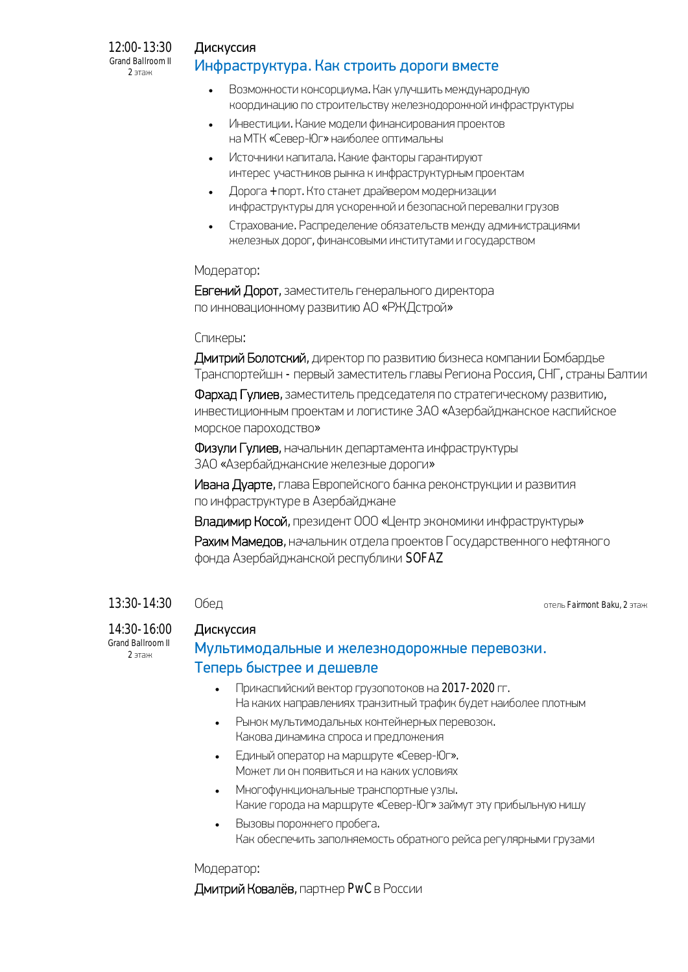#### $12:00 - 13:30$ Grand Ballroom II  $2$  этаж

### Дискуссия Инфраструктура. Как строить дороги вместе

- Возможности консорциума. Как улучшить международную координацию по строительству железнодорожной инфраструктуры
- Инвестиции. Какие модели финансирования проектов  $\bullet$ на МТК «Север-Юг» наиболее оптимальны
- Источники капитала. Какие факторы гарантируют интерес участников рынка к инфраструктурным проектам
- Дорога + порт. Кто станет драйвером модернизации инфраструктуры для ускоренной и безопасной перевалки грузов
- Страхование. Распределение обязательств между администрациями железных дорог, финансовыми институтами и государством

#### Модератор:

Евгений Дорот, заместитель генерального директора по инновационному развитию АО «РЖДстрой»

### Спикеры:

Дмитрий Болотский, директор по развитию бизнеса компании Бомбардье Транспортейшн - первый заместитель главы Региона Россия, СНГ, страны Балтии

Фархад Гулиев, заместитель председателя по стратегическому развитию, инвестиционным проектам и логистике ЗАО «Азербайджанское каспийское морское пароходство»

Физули Гулиев, начальник департамента инфраструктуры ЗАО «Азербайджанские железные дороги»

Ивана Дуарте, глава Европейского банка реконструкции и развития по инфраструктуре в Азербайджане

Владимир Косой, президент ООО «Центр экономики инфраструктуры»

Рахим Мамедов, начальник отдела проектов Государственного нефтяного фонда Азербайджанской республики SOFAZ

#### $13:30 - 14:30$ Обед

отель Fairmont Baku, 2 этаж

## $14:30 - 16:00$

Grand Ballroom II  $2$  этаж

## Дискуссия Мультимодальные и железнодорожные перевозки. Теперь быстрее и дешевле

- Прикаспийский вектор грузопотоков на 2017-2020 гг.  $\bullet$ На каких направлениях транзитный трафик будет наиболее плотным
- Рынок мультимодальных контейнерных перевозок.  $\bullet$ Какова динамика спроса и предложения
- Единый оператор на маршруте «Север-Юг».  $\bullet$ Может ли он появиться и на каких условиях
- Многофункциональные транспортные узлы. Какие города на маршруте «Север-Юг» займут эту прибыльную нишу
- Вызовы порожнего пробега.  $\bullet$ Как обеспечить заполняемость обратного рейса регулярными грузами

### Модератор:

Дмитрий Ковалёв, партнер PwC в России